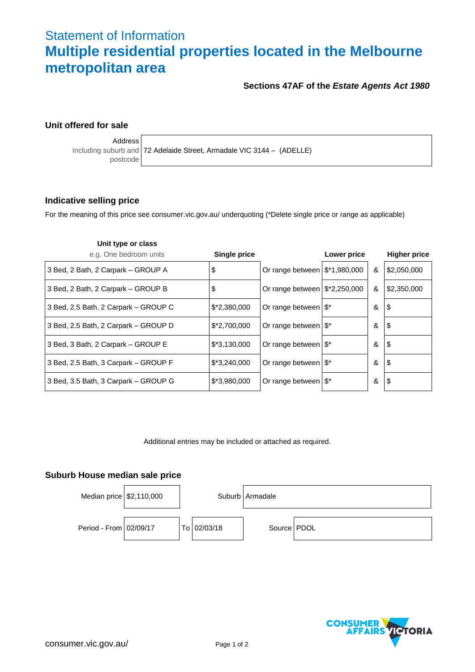# Statement of Information **Multiple residential properties located in the Melbourne metropolitan area**

# **Sections 47AF of the** *Estate Agents Act 1980*

# **Unit offered for sale**

Address

postcode

Including suburb and 72 Adelaide Street, Armadale VIC 3144 – (ADELLE)

## **Indicative selling price**

For the meaning of this price see consumer.vic.gov.au/ underquoting (\*Delete single price or range as applicable)

| Unit type or class                   |               |                                           |             |   |                     |
|--------------------------------------|---------------|-------------------------------------------|-------------|---|---------------------|
| e.g. One bedroom units               | Single price  |                                           | Lower price |   | <b>Higher price</b> |
| 3 Bed, 2 Bath, 2 Carpark - GROUP A   | \$            | Or range between $\frac{12*1,980,000}{1}$ |             | & | \$2,050,000         |
| 3 Bed, 2 Bath, 2 Carpark - GROUP B   | \$            | Or range between $\frac{12,250,000}{2}$   |             | & | \$2,350,000         |
| 3 Bed, 2.5 Bath, 2 Carpark – GROUP C | $$*2,380,000$ | Or range between   \$*                    |             | & | 1\$                 |
| 3 Bed, 2.5 Bath, 2 Carpark - GROUP D | $$*2,700,000$ | Or range between   \$*                    |             | & | $\sqrt{3}$          |
| 3 Bed, 3 Bath, 2 Carpark – GROUP E   | $$*3,130,000$ | Or range between   \$*                    |             | & | $\sqrt{3}$          |
| 3 Bed, 2.5 Bath, 3 Carpark – GROUP F | $$*3,240,000$ | Or range between $\frac{1}{3}$ *          |             | & | \$                  |
| 3 Bed, 3.5 Bath, 3 Carpark - GROUP G | $$*3,980,000$ | Or range between $\frac{1}{3}$ *          |             | & | 1\$                 |

Additional entries may be included or attached as required.

## **Suburb House median sale price**